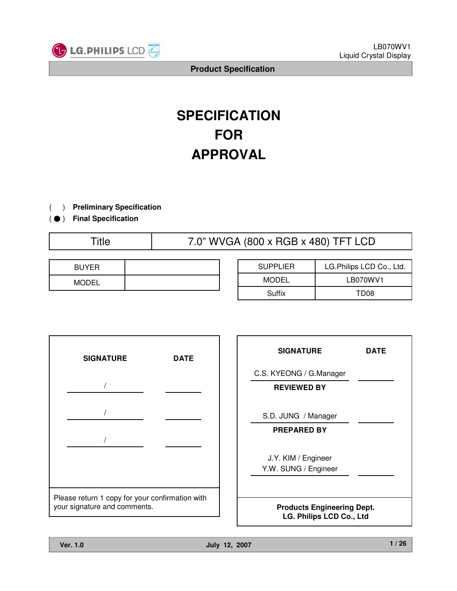

# **SPECIFICATION FOR APPROVAL**

) **Preliminary Specification** $\left($ 

) ( ̻ **Final Specification**

Title 7.0" WVGA (800 x RGB x 480) TFT LCD

| <b>BUYER</b> |  |
|--------------|--|
| <b>MODEL</b> |  |

| <b>SUPPLIER</b> | LG.Philips LCD Co., Ltd. |  |  |
|-----------------|--------------------------|--|--|
| <b>MODEL</b>    | LB070WV1                 |  |  |
| Suffix          | TD <sub>08</sub>         |  |  |



| <b>SIGNATURE</b>                                              | <b>DATE</b> |  |  |  |  |
|---------------------------------------------------------------|-------------|--|--|--|--|
| C.S. KYEONG / G.Manager                                       |             |  |  |  |  |
| <b>REVIEWED BY</b>                                            |             |  |  |  |  |
|                                                               |             |  |  |  |  |
| S.D. JUNG / Manager                                           |             |  |  |  |  |
| <b>PREPARED BY</b>                                            |             |  |  |  |  |
|                                                               |             |  |  |  |  |
| J.Y. KIM / Engineer                                           |             |  |  |  |  |
| Y.W. SUNG / Engineer                                          |             |  |  |  |  |
|                                                               |             |  |  |  |  |
| <b>Products Engineering Dept.</b><br>LG. Philips LCD Co., Ltd |             |  |  |  |  |

٦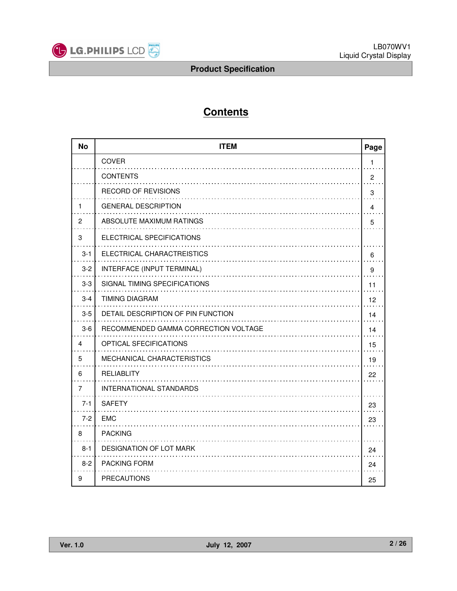

# **Contents**

| <b>No</b> | <b>ITEM</b><br>Page                  |                |  |  |  |  |
|-----------|--------------------------------------|----------------|--|--|--|--|
|           | <b>COVER</b>                         | 1              |  |  |  |  |
|           | <b>CONTENTS</b>                      | $\overline{2}$ |  |  |  |  |
|           | <b>RECORD OF REVISIONS</b>           | 3              |  |  |  |  |
| 1         | <b>GENERAL DESCRIPTION</b>           | $\overline{4}$ |  |  |  |  |
| 2         | ABSOLUTE MAXIMUM RATINGS             | 5              |  |  |  |  |
| 3         | ELECTRICAL SPECIFICATIONS            |                |  |  |  |  |
| $3 - 1$   | ELECTRICAL CHARACTREISTICS           | 6              |  |  |  |  |
| $3 - 2$   | INTERFACE (INPUT TERMINAL)           | 9              |  |  |  |  |
| $3-3$     | SIGNAL TIMING SPECIFICATIONS         | 11             |  |  |  |  |
| $3 - 4$   | <b>TIMING DIAGRAM</b>                | 12             |  |  |  |  |
| $3-5$     | DETAIL DESCRIPTION OF PIN FUNCTION   | 14             |  |  |  |  |
| $3-6$     | RECOMMENDED GAMMA CORRECTION VOLTAGE | 14             |  |  |  |  |
| 4         | OPTICAL SFECIFICATIONS               | 15             |  |  |  |  |
| 5         | MECHANICAL CHARACTERISTICS           | 19             |  |  |  |  |
| 6         | <b>RELIABLITY</b>                    | 22             |  |  |  |  |
| 7         | <b>INTERNATIONAL STANDARDS</b>       |                |  |  |  |  |
| $7 - 1$   | <b>SAFETY</b>                        | 23             |  |  |  |  |
| $7 - 2$   | <b>EMC</b>                           | 23             |  |  |  |  |
| 8         | <b>PACKING</b>                       |                |  |  |  |  |
| $8 - 1$   | DESIGNATION OF LOT MARK              | 24             |  |  |  |  |
| $8-2$     | PACKING FORM                         | 24             |  |  |  |  |
| 9         | <b>PRECAUTIONS</b>                   | 25             |  |  |  |  |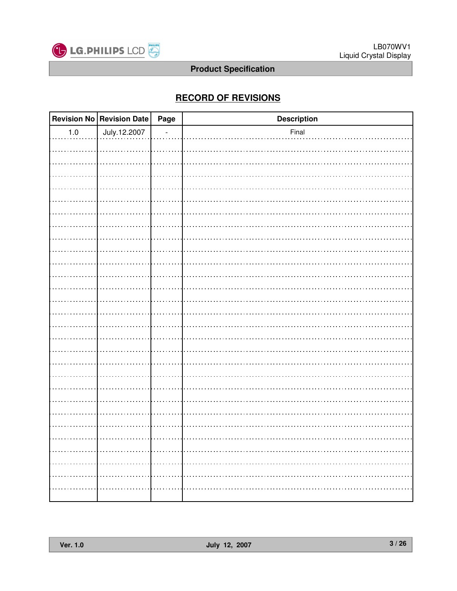

# **RECORD OF REVISIONS**

|         | Revision No Revision Date | Page | <b>Description</b> |
|---------|---------------------------|------|--------------------|
| $1.0\,$ | July.12.2007              |      | Final              |
|         |                           |      |                    |
|         |                           |      |                    |
|         |                           |      |                    |
|         |                           |      |                    |
|         |                           |      |                    |
|         |                           |      |                    |
|         |                           |      |                    |
|         |                           |      |                    |
|         |                           |      |                    |
|         |                           |      |                    |
|         |                           |      |                    |
|         |                           |      |                    |
|         |                           |      |                    |
|         |                           |      |                    |
|         |                           |      |                    |
|         |                           |      |                    |
|         |                           |      |                    |
|         |                           |      |                    |
|         |                           |      |                    |
|         |                           |      |                    |
|         |                           |      |                    |
|         |                           |      |                    |
|         |                           |      |                    |
|         |                           |      |                    |
|         |                           |      |                    |
|         |                           |      |                    |
|         |                           |      |                    |
|         |                           |      |                    |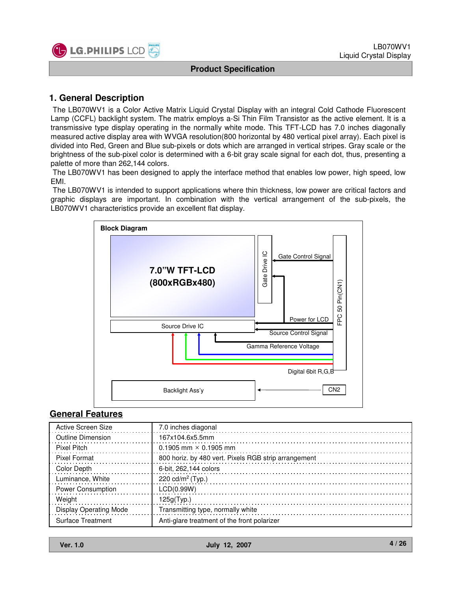

# **1. General Description**

The LB070WV1 is a Color Active Matrix Liquid Crystal Display with an integral Cold Cathode Fluorescent Lamp (CCFL) backlight system. The matrix employs a-Si Thin Film Transistor as the active element. It is a transmissive type display operating in the normally white mode. This TFT-LCD has 7.0 inches diagonally measured active display area with WVGA resolution(800 horizontal by 480 vertical pixel array). Each pixel is divided into Red, Green and Blue sub-pixels or dots which are arranged in vertical stripes. Gray scale or the brightness of the sub-pixel color is determined with a 6-bit gray scale signal for each dot, thus, presenting a palette of more than 262,144 colors.

The LB070WV1 has been designed to apply the interface method that enables low power, high speed, low EMI.

The LB070WV1 is intended to support applications where thin thickness, low power are critical factors and graphic displays are important. In combination with the vertical arrangement of the sub-pixels, the LB070WV1 characteristics provide an excellent flat display.



#### **General Features**

| Active Screen Size       | 7.0 inches diagonal                                  |
|--------------------------|------------------------------------------------------|
| Outline Dimension        | 167x104.6x5.5mm                                      |
| <b>Pixel Pitch</b>       | $0.1905$ mm $\times$ 0.1905 mm                       |
| <b>Pixel Format</b>      | 800 horiz. by 480 vert. Pixels RGB strip arrangement |
| Color Depth              | 6-bit, 262,144 colors                                |
| Luminance, White         | 220 cd/m <sup>2</sup> (Typ.)                         |
| <b>Power Consumption</b> | LCD(0.99W)                                           |
| Weight                   | 125g(Typ.)                                           |
| Display Operating Mode   | Transmitting type, normally white                    |
| <b>Surface Treatment</b> | Anti-glare treatment of the front polarizer          |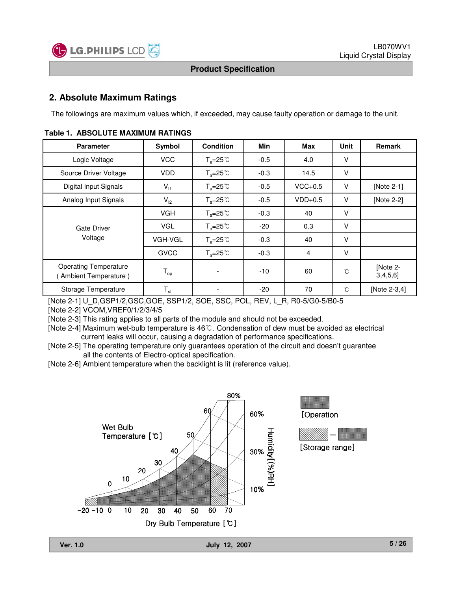

# **2. Absolute Maximum Ratings**

The followings are maximum values which, if exceeded, may cause faulty operation or damage to the unit.

| <b>Parameter</b>                                     | Symbol                     | <b>Condition</b>          | Min    | Max       | Unit   | Remark              |
|------------------------------------------------------|----------------------------|---------------------------|--------|-----------|--------|---------------------|
| Logic Voltage                                        | <b>VCC</b>                 | $T_a = 25^\circ \text{C}$ | $-0.5$ | 4.0       | V      |                     |
| Source Driver Voltage                                | <b>VDD</b>                 | $T_a = 25^\circ \text{C}$ | $-0.3$ | 14.5      | V      |                     |
| Digital Input Signals                                | $V_{11}$                   | $T_a = 25^\circ \text{C}$ | $-0.5$ | $VCC+0.5$ | $\vee$ | [Note 2-1]          |
| Analog Input Signals                                 | $V_{12}$                   | $T_a = 25^\circ \text{C}$ | $-0.5$ | $VDD+0.5$ | V      | [Note 2-2]          |
| Gate Driver                                          | <b>VGH</b>                 | $T_a = 25^{\circ}C$       | $-0.3$ | 40        | v      |                     |
|                                                      | <b>VGL</b>                 | $T_a = 25^\circ \text{C}$ | $-20$  | 0.3       | v      |                     |
| Voltage                                              | VGH-VGL                    | $T_a = 25^\circ \text{C}$ | $-0.3$ | 40        | V      |                     |
|                                                      | <b>GVCC</b>                | $T_a = 25^\circ \text{C}$ | $-0.3$ | 4         | $\vee$ |                     |
| <b>Operating Temperature</b><br>Ambient Temperature) | $T_{op}$                   |                           | $-10$  | 60        | °C     | [Note 2-<br>3,4,5,6 |
| Storage Temperature                                  | $\mathsf{T}_{\mathsf{st}}$ |                           | $-20$  | 70        | °C     | [Note 2-3,4]        |

#### **Table 1. ABSOLUTE MAXIMUM RATINGS**

[Note 2-1] U\_D,GSP1/2,GSC,GOE, SSP1/2, SOE, SSC, POL, REV, L\_R, R0-5/G0-5/B0-5

[Note 2-2] VCOM,VREF0/1/2/3/4/5

[Note 2-3] This rating applies to all parts of the module and should not be exceeded.

[Note 2-4] Maximum wet-bulb temperature is 46°C. Condensation of dew must be avoided as electrical current leaks will occur, causing a degradation of performance specifications.

[Note 2-5] The operating temperature only guarantees operation of the circuit and doesn't guarantee all the contents of Electro-optical specification.

[Note 2-6] Ambient temperature when the backlight is lit (reference value).

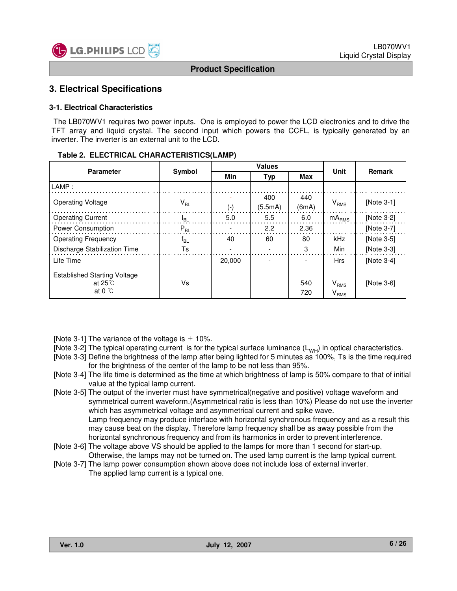

#### **3. Electrical Specifications**

#### **3-1. Electrical Characteristics**

The LB070WV1 requires two power inputs. One is employed to power the LCD electronics and to drive the TFT array and liquid crystal. The second input which powers the CCFL, is typically generated by an inverter. The inverter is an external unit to the LCD.

| Table 2. ELECTRICAL CHARACTERISTICS(LAMP) |
|-------------------------------------------|
|-------------------------------------------|

| <b>Parameter</b>                                                 | Symbol                     |                          | <b>Values</b>  | <b>Unit</b>  | <b>Remark</b>                            |            |  |
|------------------------------------------------------------------|----------------------------|--------------------------|----------------|--------------|------------------------------------------|------------|--|
|                                                                  |                            | <b>Min</b><br><b>Typ</b> |                | Max          |                                          |            |  |
| LAMP:                                                            |                            |                          |                |              |                                          |            |  |
| <b>Operating Voltage</b>                                         | $\mathsf{V}_{\mathsf{BL}}$ | (-)                      | 400<br>(5.5mA) | 440<br>(6mA) | $V_{RMS}$                                | [Note 3-1] |  |
| <b>Operating Current</b>                                         | l <sub>RL</sub>            | 5.0                      | 5.5            | 6.0          | $mA_{RMS}$                               | [Note 3-2] |  |
| Power Consumption                                                | $P_{BL}$                   |                          | 2.2            | 2.36         |                                          | [Note 3-7] |  |
| <b>Operating Frequency</b>                                       | Ťвı                        | 40                       | 60             | 80           | kHz                                      | [Note 3-5] |  |
| Discharge Stabilization Time                                     | Ts                         |                          |                | 3            | Min                                      | [Note 3-3] |  |
| Life Time                                                        |                            | 20,000                   |                |              | <b>Hrs</b>                               | [Note 3-4] |  |
| <b>Established Starting Voltage</b><br>at 25 ℃<br>at $0^{\circ}$ | Vs                         |                          |                | 540<br>720   | $V_{RMS}$<br>$\mathsf{V}_{\mathsf{RMS}}$ | [Note 3-6] |  |

- [Note 3-1] The variance of the voltage is  $\pm$  10%.
- [Note 3-2] The typical operating current is for the typical surface luminance  $(L_{WH})$  in optical characteristics.
- [Note 3-3] Define the brightness of the lamp after being lighted for 5 minutes as 100%, Ts is the time required for the brightness of the center of the lamp to be not less than 95%.
- [Note 3-4] The life time is determined as the time at which brightness of lamp is 50% compare to that of initial value at the typical lamp current.
- [Note 3-5] The output of the inverter must have symmetrical(negative and positive) voltage waveform and symmetrical current waveform.(Asymmetrical ratio is less than 10%) Please do not use the inverter which has asymmetrical voltage and asymmetrical current and spike wave. Lamp frequency may produce interface with horizontal synchronous frequency and as a result this may cause beat on the display. Therefore lamp frequency shall be as away possible from the horizontal synchronous frequency and from its harmonics in order to prevent interference.
- [Note 3-6] The voltage above VS should be applied to the lamps for more than 1 second for start-up. Otherwise, the lamps may not be turned on. The used lamp current is the lamp typical current.
- [Note 3-7] The lamp power consumption shown above does not include loss of external inverter. The applied lamp current is a typical one.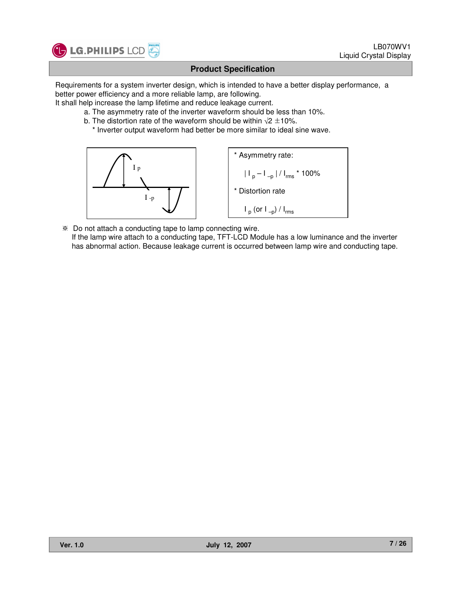

Requirements for a system inverter design, which is intended to have a better display performance, a better power efficiency and a more reliable lamp, are following.

It shall help increase the lamp lifetime and reduce leakage current.

- a. The asymmetry rate of the inverter waveform should be less than 10%.
- b. The distortion rate of the waveform should be within  $\sqrt{2} \pm 10\%$ .
	- \* Inverter output waveform had better be more similar to ideal sine wave.



 Do not attach a conducting tape to lamp connecting wire. If the lamp wire attach to a conducting tape, TFT-LCD Module has a low luminance and the inverter has abnormal action. Because leakage current is occurred between lamp wire and conducting tape.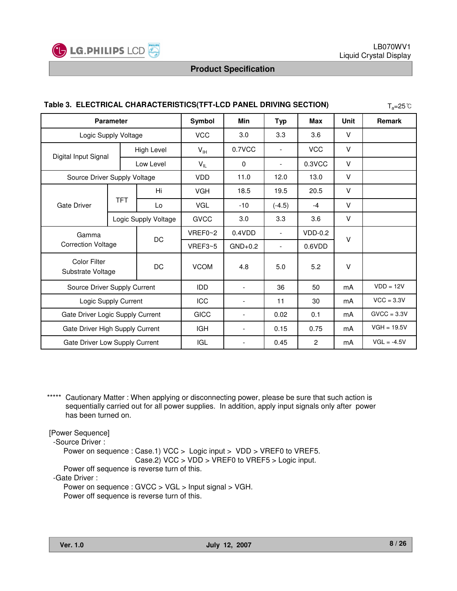

| Table 3. ELECTRICAL CHARACTERISTICS(TFT-LCD PANEL DRIVING SECTION)<br>$T_a = 25^{\circ}C$ |                      |             |                          |                          |                          |                |               |               |
|-------------------------------------------------------------------------------------------|----------------------|-------------|--------------------------|--------------------------|--------------------------|----------------|---------------|---------------|
| <b>Parameter</b>                                                                          |                      |             | Symbol                   | Min                      | <b>Typ</b>               | Max            | <b>Unit</b>   | Remark        |
| Logic Supply Voltage                                                                      |                      |             | <b>VCC</b>               | 3.0                      | 3.3                      | 3.6            | V             |               |
| Digital Input Signal                                                                      |                      | High Level  | $V_{\text{IH}}$          | 0.7VCC                   |                          | <b>VCC</b>     | V             |               |
|                                                                                           |                      | Low Level   | $V_{IL}$                 | $\mathbf 0$              | $\overline{\phantom{0}}$ | 0.3VCC         | V             |               |
| Source Driver Supply Voltage                                                              |                      |             | <b>VDD</b>               | 11.0                     | 12.0                     | 13.0           | V             |               |
|                                                                                           |                      | Hi.         | <b>VGH</b>               | 18.5                     | 19.5                     | 20.5           | V             |               |
| <b>Gate Driver</b>                                                                        | <b>TFT</b>           | Lo          | <b>VGL</b>               | $-10$                    | $(-4.5)$                 | $-4$           | V             |               |
|                                                                                           | Logic Supply Voltage |             | <b>GVCC</b>              | 3.0                      | 3.3                      | 3.6            | V             |               |
| Gamma                                                                                     |                      | DC          | VREF0~2                  | 0.4VDD                   |                          | $VDD-0.2$      | V             |               |
| <b>Correction Voltage</b>                                                                 |                      |             | VREF3~5                  | $GND+0.2$                | $\overline{\phantom{a}}$ | 0.6VDD         |               |               |
| <b>Color Filter</b><br>Substrate Voltage                                                  |                      | DC          | <b>VCOM</b>              | 4.8                      | 5.0                      | 5.2            | V             |               |
| Source Driver Supply Current                                                              |                      | <b>IDD</b>  | $\overline{\phantom{a}}$ | 36                       | 50                       | mA             | $VDD = 12V$   |               |
| Logic Supply Current                                                                      |                      | ICC         | $\overline{\phantom{a}}$ | 11                       | 30                       | mA             | $VCC = 3.3V$  |               |
| Gate Driver Logic Supply Current                                                          |                      | <b>GICC</b> | $\overline{\phantom{a}}$ | 0.02                     | 0.1                      | mA             | $GVCC = 3.3V$ |               |
| Gate Driver High Supply Current                                                           |                      |             | <b>IGH</b>               | $\overline{\phantom{a}}$ | 0.15                     | 0.75           | mA            | $VGH = 19.5V$ |
| Gate Driver Low Supply Current                                                            |                      |             | <b>IGL</b>               | $\overline{\phantom{a}}$ | 0.45                     | $\overline{2}$ | mA            | $VGL = -4.5V$ |

#### **Table 3. ELECTRICAL CHARACTERISTICS(TFT-LCD PANEL DRIVING SECTION)**

\*\*\*\*\* Cautionary Matter : When applying or disconnecting power, please be sure that such action is sequentially carried out for all power supplies. In addition, apply input signals only after power has been turned on.

[Power Sequence]

-Source Driver :

Power on sequence : Case.1) VCC > Logic input > VDD > VREF0 to VREF5.

Case.2) VCC > VDD > VREF0 to VREF5 > Logic input.

Power off sequence is reverse turn of this.

-Gate Driver :

Power on sequence : GVCC > VGL > Input signal > VGH. Power off sequence is reverse turn of this.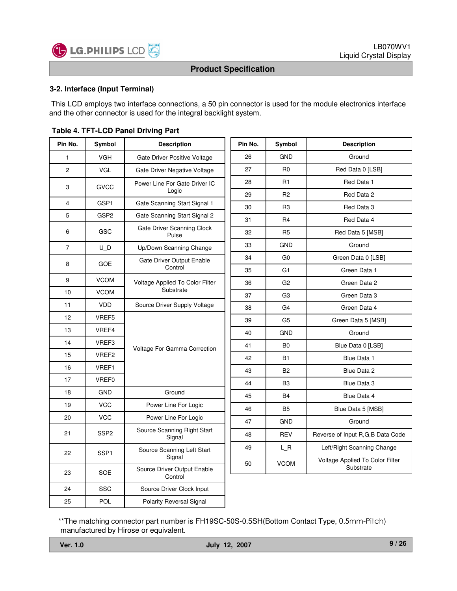

#### **3-2. Interface (Input Terminal)**

This LCD employs two interface connections, a 50 pin connector is used for the module electronics interface and the other connector is used for the integral backlight system.

| Pin No.        | Symbol           | <b>Description</b>                     | Pin No. | Symbol         | <b>Description</b>               |
|----------------|------------------|----------------------------------------|---------|----------------|----------------------------------|
| $\mathbf{1}$   | <b>VGH</b>       | Gate Driver Positive Voltage           | 26      | <b>GND</b>     | Ground                           |
| $\overline{c}$ | <b>VGL</b>       | Gate Driver Negative Voltage           | 27      | R <sub>0</sub> | Red Data 0 [LSB]                 |
| 3              | <b>GVCC</b>      | Power Line For Gate Driver IC          | 28      | R <sub>1</sub> | Red Data 1                       |
|                |                  | Logic                                  | 29      | R <sub>2</sub> | Red Data 2                       |
| 4              | GSP1             | Gate Scanning Start Signal 1           | 30      | R <sub>3</sub> | Red Data 3                       |
| 5              | GSP <sub>2</sub> | Gate Scanning Start Signal 2           | 31      | R <sub>4</sub> | Red Data 4                       |
| 6              | GSC              | Gate Driver Scanning Clock<br>Pulse    | 32      | R <sub>5</sub> | Red Data 5 [MSB]                 |
| $\overline{7}$ | U D              | Up/Down Scanning Change                | 33      | <b>GND</b>     | Ground                           |
|                |                  | Gate Driver Output Enable              | 34      | G0             | Green Data 0 [LSB]               |
| 8              | <b>GOE</b>       | Control                                | 35      | G <sub>1</sub> | Green Data 1                     |
| 9              | <b>VCOM</b>      | Voltage Applied To Color Filter        | 36      | G <sub>2</sub> | Green Data 2                     |
| 10             | <b>VCOM</b>      | Substrate                              | 37      | G <sub>3</sub> | Green Data 3                     |
| 11             | <b>VDD</b>       | Source Driver Supply Voltage           | 38      | G4             | Green Data 4                     |
| 12             | VREF5            |                                        | 39      | G <sub>5</sub> | Green Data 5 [MSB]               |
| 13             | VREF4            |                                        | 40      | <b>GND</b>     | Ground                           |
| 14             | VREF3            | Voltage For Gamma Correction           | 41      | B <sub>0</sub> | Blue Data 0 [LSB]                |
| 15             | VREF2            |                                        | 42      | <b>B1</b>      | Blue Data 1                      |
| 16             | VREF1            |                                        | 43      | <b>B2</b>      | Blue Data 2                      |
| 17             | VREF0            |                                        | 44      | B <sub>3</sub> | Blue Data 3                      |
| 18             | <b>GND</b>       | Ground                                 | 45      | <b>B4</b>      | Blue Data 4                      |
| 19             | <b>VCC</b>       | Power Line For Logic                   | 46      | B <sub>5</sub> | Blue Data 5 [MSB]                |
| 20             | <b>VCC</b>       | Power Line For Logic                   | 47      | <b>GND</b>     | Ground                           |
| 21             | SSP <sub>2</sub> | Source Scanning Right Start<br>Signal  | 48      | <b>REV</b>     | Reverse of Input R,G,B Data Code |
|                |                  | Source Scanning Left Start             | 49      | $L_R$          | Left/Right Scanning Change       |
| 22             | SSP <sub>1</sub> | Signal                                 | 50      | <b>VCOM</b>    | Voltage Applied To Color Filter  |
| 23             | <b>SOE</b>       | Source Driver Output Enable<br>Control |         |                | Substrate                        |
| 24             | SSC              | Source Driver Clock Input              |         |                |                                  |
| 25             | <b>POL</b>       | <b>Polarity Reversal Signal</b>        |         |                |                                  |

#### **Table 4. TFT-LCD Panel Driving Part**

\*\*The matching connector part number is FH19SC-50S-0.5SH(Bottom Contact Type, 0.5mm-Pitch) manufactured by Hirose or equivalent.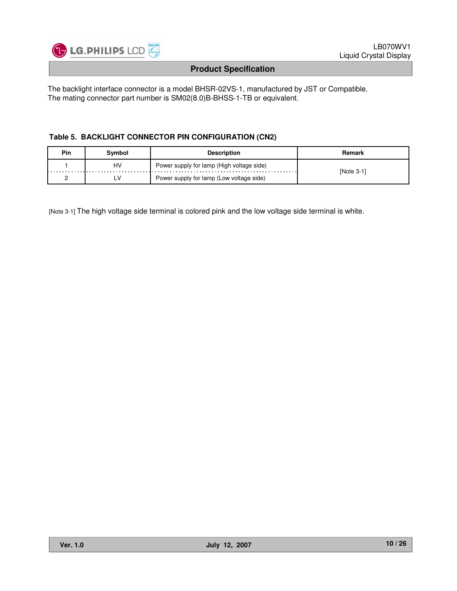

The backlight interface connector is a model BHSR-02VS-1, manufactured by JST or Compatible. The mating connector part number is SM02(8.0)B-BHSS-1-TB or equivalent.

#### **Table 5. BACKLIGHT CONNECTOR PIN CONFIGURATION (CN2)**

| Pin | Svmbol | <b>Description</b>                        | Remark     |
|-----|--------|-------------------------------------------|------------|
|     | HV     | Power supply for lamp (High voltage side) | [Note 3-1] |
|     | ۲V     | Power supply for lamp (Low voltage side)  |            |

[Note 3-1] The high voltage side terminal is colored pink and the low voltage side terminal is white.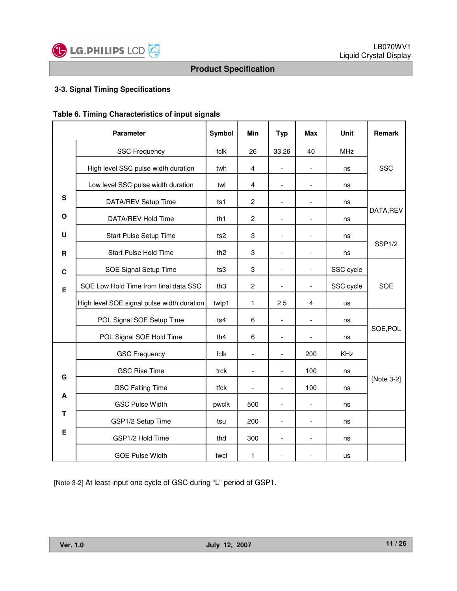

#### **3-3. Signal Timing Specifications**

| Table 6. Timing Characteristics of input signals |  |
|--------------------------------------------------|--|
|--------------------------------------------------|--|

|              | <b>Parameter</b>                           | Symbol          | Min                      | <b>Typ</b>               | <b>Max</b>               | Unit       | Remark             |
|--------------|--------------------------------------------|-----------------|--------------------------|--------------------------|--------------------------|------------|--------------------|
|              | <b>SSC Frequency</b>                       | fclk            | 26                       | 33.26                    | 40                       | <b>MHz</b> |                    |
|              | High level SSC pulse width duration        | twh             | $\overline{4}$           | $\overline{a}$           | $\overline{\phantom{a}}$ | ns         | <b>SSC</b>         |
|              | Low level SSC pulse width duration         | twl             | 4                        |                          | $\overline{\phantom{a}}$ | ns         |                    |
| ${\bf S}$    | DATA/REV Setup Time                        | ts1             | $\overline{2}$           |                          |                          | ns         |                    |
| $\mathbf{o}$ | DATA/REV Hold Time                         | th <sub>1</sub> | $\overline{2}$           | $\overline{\phantom{a}}$ | $\overline{\phantom{a}}$ | ns         | DATA, REV          |
| U            | Start Pulse Setup Time                     | ts <sub>2</sub> | 3                        | $\blacksquare$           | $\blacksquare$           | ns         |                    |
| $\mathsf R$  | <b>Start Pulse Hold Time</b>               | th <sub>2</sub> | 3                        | $\overline{a}$           | $\overline{\phantom{a}}$ | ns         | SSP <sub>1/2</sub> |
| $\mathbf c$  | SOE Signal Setup Time                      | ts3             | 3                        | $\overline{a}$           | $\overline{\phantom{a}}$ | SSC cycle  |                    |
| E            | SOE Low Hold Time from final data SSC      | th <sub>3</sub> | $\overline{c}$           | $\overline{a}$           | $\frac{1}{2}$            | SSC cycle  | <b>SOE</b>         |
|              | High level SOE signal pulse width duration | twtp1           | 1                        | 2.5                      | 4                        | us         |                    |
|              | POL Signal SOE Setup Time                  | ts4             | 6                        | $\overline{a}$           | $\overline{\phantom{a}}$ | ns         |                    |
|              | POL Signal SOE Hold Time                   | th4             | 6                        | $\overline{a}$           | $\overline{\phantom{a}}$ | ns         | SOE, POL           |
|              | <b>GSC Frequency</b>                       | fclk            | $\overline{a}$           |                          | 200                      | <b>KHz</b> |                    |
| G            | <b>GSC Rise Time</b>                       | trck            | $\overline{\phantom{a}}$ | $\overline{a}$           | 100                      | ns         |                    |
|              | <b>GSC Falling Time</b>                    | tfck            | $\overline{\phantom{a}}$ | $\overline{a}$           | 100                      | ns         | [Note 3-2]         |
| A            | <b>GSC Pulse Width</b>                     | pwclk           | 500                      | $\overline{a}$           | $\overline{\phantom{a}}$ | ns         |                    |
| т            | GSP1/2 Setup Time                          | tsu             | 200                      | $\overline{a}$           | $\frac{1}{2}$            | ns         |                    |
| E            | GSP1/2 Hold Time                           | thd             | 300                      | $\frac{1}{2}$            | $\overline{\phantom{a}}$ | ns         |                    |
|              | <b>GOE Pulse Width</b>                     | twcl            | 1                        |                          |                          | us         |                    |

[Note 3-2] At least input one cycle of GSC during "L" period of GSP1.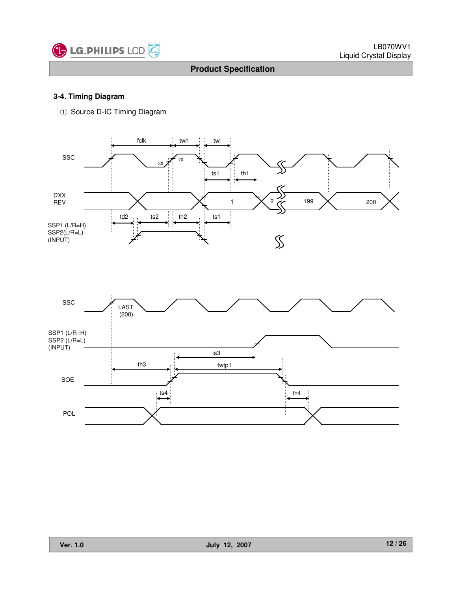

#### **3-4. Timing Diagram**

ྙ Source D-IC Timing Diagram



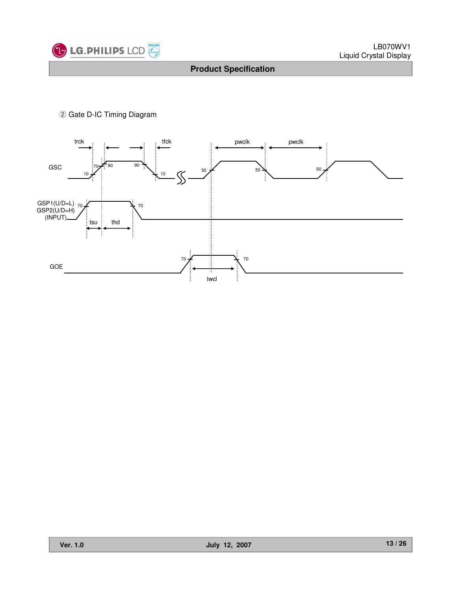

ྚ Gate D-IC Timing Diagram

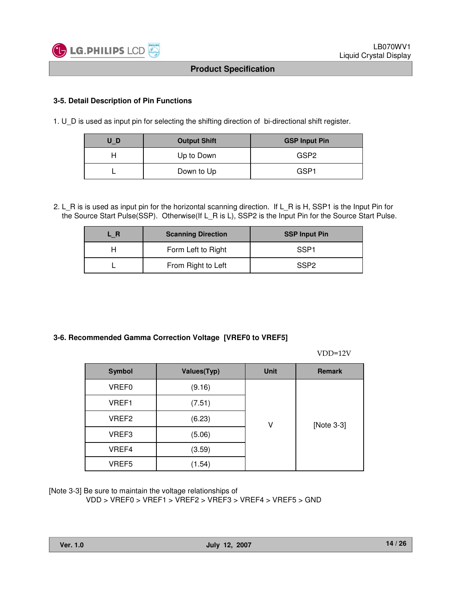

#### **3-5. Detail Description of Pin Functions**

1. U\_D is used as input pin for selecting the shifting direction of bi-directional shift register.

| U D | <b>Output Shift</b> | <b>GSP Input Pin</b> |
|-----|---------------------|----------------------|
|     | Up to Down          | GSP2                 |
|     | Down to Up          | GSP <sub>1</sub>     |

2. L\_R is is used as input pin for the horizontal scanning direction. If L\_R is H, SSP1 is the Input Pin for the Source Start Pulse(SSP). Otherwise(If L\_R is L), SSP2 is the Input Pin for the Source Start Pulse.

| . R | <b>Scanning Direction</b> | <b>SSP Input Pin</b> |
|-----|---------------------------|----------------------|
|     | Form Left to Right        | SSP1                 |
|     | From Right to Left        | SSP <sub>2</sub>     |

#### **3-6. Recommended Gamma Correction Voltage [VREF0 to VREF5]**

VDD=12V

| <b>Symbol</b>     | <b>Values(Typ)</b> | <b>Unit</b> | <b>Remark</b> |
|-------------------|--------------------|-------------|---------------|
| VREF0             | (9.16)             |             |               |
| VREF1             | (7.51)             |             |               |
| VREF2             | (6.23)             | ۷           | [Note 3-3]    |
| VREF3             | (5.06)             |             |               |
| VREF4             | (3.59)             |             |               |
| VREF <sub>5</sub> | (1.54)             |             |               |

[Note 3-3] Be sure to maintain the voltage relationships of

VDD > VREF0 > VREF1 > VREF2 > VREF3 > VREF4 > VREF5 > GND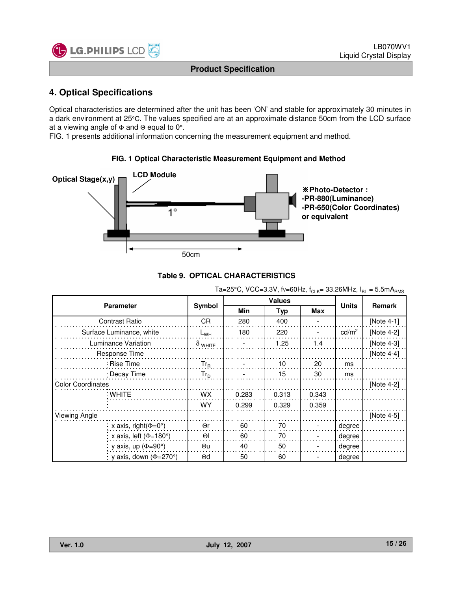

# **4. Optical Specifications**

Optical characteristics are determined after the unit has been 'ON' and stable for approximately 30 minutes in a dark environment at 25°C. The values specified are at an approximate distance 50cm from the LCD surface at a viewing angle of Φ and Θ equal to 0°.

**FIG. 1 Optical Characteristic Measurement Equipment and Method**

FIG. 1 presents additional information concerning the measurement equipment and method.





|                                  | $1a = 20$ U, $100 = 0.01$ , $100 = 001$ Iz, $1C$ <sub>IK</sub> = 00.2011 IZ, $1R$ I = 0.0111 $RRMS$ |       |               |       |                   |               |  |  |  |  |  |
|----------------------------------|-----------------------------------------------------------------------------------------------------|-------|---------------|-------|-------------------|---------------|--|--|--|--|--|
| <b>Parameter</b>                 |                                                                                                     |       | <b>Values</b> |       | <b>Units</b>      | <b>Remark</b> |  |  |  |  |  |
|                                  | Symbol                                                                                              | Min   | <b>Typ</b>    | Max   |                   |               |  |  |  |  |  |
| <b>Contrast Ratio</b>            | CR.                                                                                                 | 280   | 400           |       |                   | [Note 4-1]    |  |  |  |  |  |
| Surface Luminance, white         | $L_{WH}$                                                                                            | 180   | 220           |       | cd/m <sup>2</sup> | [Note 4-2]    |  |  |  |  |  |
| Luminance Variation              | $\delta$ white                                                                                      |       | 1.25          | 1.4   |                   | [Note 4-3]    |  |  |  |  |  |
| Response Time                    |                                                                                                     |       |               |       |                   | [Note $4-4$ ] |  |  |  |  |  |
| ∶Rise Time                       | $Tr_R$                                                                                              |       | 10            | 20    | ms                |               |  |  |  |  |  |
| : Decay Time                     | $Tr_D$                                                                                              |       | 15            | 30    | ms                |               |  |  |  |  |  |
| <b>Color Coordinates</b>         |                                                                                                     |       |               |       |                   | [Note 4-2]    |  |  |  |  |  |
| ∶WHITE                           | <b>WX</b>                                                                                           | 0.283 | 0.313         | 0.343 |                   |               |  |  |  |  |  |
|                                  | WY                                                                                                  | 0.299 | 0.329         | 0.359 |                   |               |  |  |  |  |  |
| Viewing Angle                    |                                                                                                     |       |               |       |                   | [Note 4-5]    |  |  |  |  |  |
| x axis, right $(\Phi=0^{\circ})$ | $\Theta$ r                                                                                          | 60    | 70            |       | degree            |               |  |  |  |  |  |
| x axis, left ( $\Phi$ =180°)     | $\Theta$                                                                                            | 60    | 70            |       | degree            |               |  |  |  |  |  |
| y axis, up $(\Phi = 90^\circ)$   | Θu                                                                                                  | 40    | 50            |       | degree            |               |  |  |  |  |  |
| y axis, down ( $\Phi$ =270°)     | $\Theta$ d                                                                                          | 50    | 60            |       | degree            |               |  |  |  |  |  |

#### $Ta = 25°C$ ,  $VCC = 3.3V$ ,  $f_V = 60Hz$ ,  $f_{C_V} = 33.26MHz$ ,  $I_{B_V} = 5.5mA$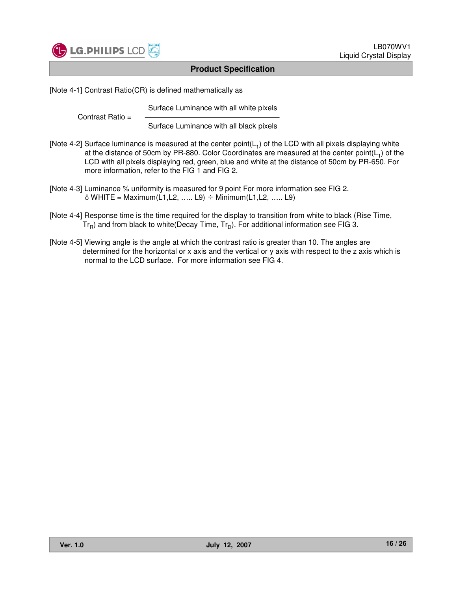

[Note 4-1] Contrast Ratio(CR) is defined mathematically as

Surface Luminance with all white pixels

Contrast Ratio =

Surface Luminance with all black pixels

- [Note 4-2] Surface luminance is measured at the center point( $L_1$ ) of the LCD with all pixels displaying white at the distance of 50cm by PR-880. Color Coordinates are measured at the center point( $L_1$ ) of the LCD with all pixels displaying red, green, blue and white at the distance of 50cm by PR-650. For more information, refer to the FIG 1 and FIG 2.
- [Note 4-3] Luminance % uniformity is measured for 9 point For more information see FIG 2.  $\delta$  WHITE = Maximum(L1,L2, ….. L9)  $\div$  Minimum(L1,L2, ….. L9)
- [Note 4-4] Response time is the time required for the display to transition from white to black (Rise Time,  $Tr_R$ ) and from black to white(Decay Time,  $Tr_D$ ). For additional information see FIG 3.
- [Note 4-5] Viewing angle is the angle at which the contrast ratio is greater than 10. The angles are determined for the horizontal or x axis and the vertical or y axis with respect to the z axis which is normal to the LCD surface. For more information see FIG 4.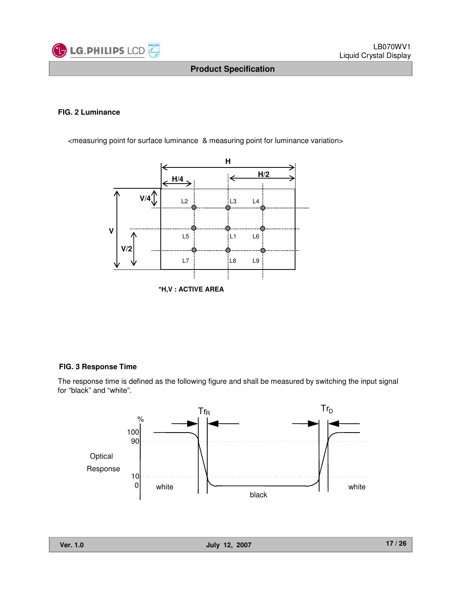

#### **FIG. 2 Luminance**

<measuring point for surface luminance & measuring point for luminance variation>



#### **FIG. 3 Response Time**

The response time is defined as the following figure and shall be measured by switching the input signal for "black" and "white".

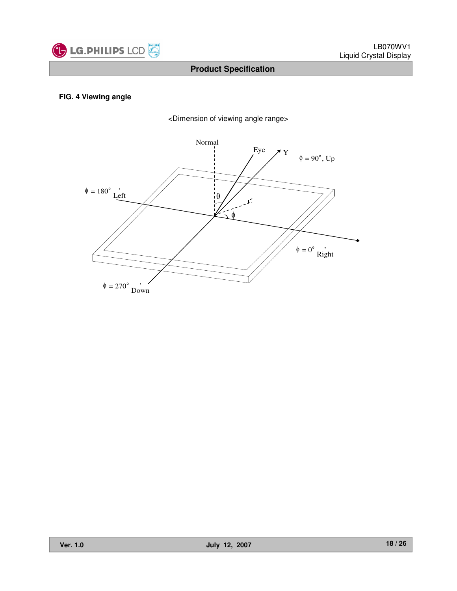

#### **FIG. 4 Viewing angle**



<Dimension of viewing angle range>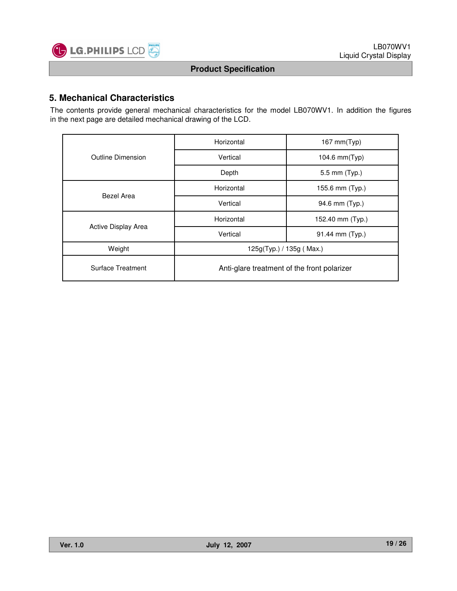

# **5. Mechanical Characteristics**

The contents provide general mechanical characteristics for the model LB070WV1. In addition the figures in the next page are detailed mechanical drawing of the LCD.

|                     | Horizontal                                  | $167$ mm $(Typ)$ |  |  |  |
|---------------------|---------------------------------------------|------------------|--|--|--|
| Outline Dimension   | Vertical                                    | 104.6 mm(Typ)    |  |  |  |
|                     | Depth                                       | 5.5 mm (Typ.)    |  |  |  |
| Bezel Area          | Horizontal                                  | 155.6 mm (Typ.)  |  |  |  |
|                     | Vertical                                    | 94.6 mm (Typ.)   |  |  |  |
|                     | Horizontal                                  | 152.40 mm (Typ.) |  |  |  |
| Active Display Area | Vertical                                    | 91.44 mm (Typ.)  |  |  |  |
| Weight              | 125g(Typ.) / 135g (Max.)                    |                  |  |  |  |
| Surface Treatment   | Anti-glare treatment of the front polarizer |                  |  |  |  |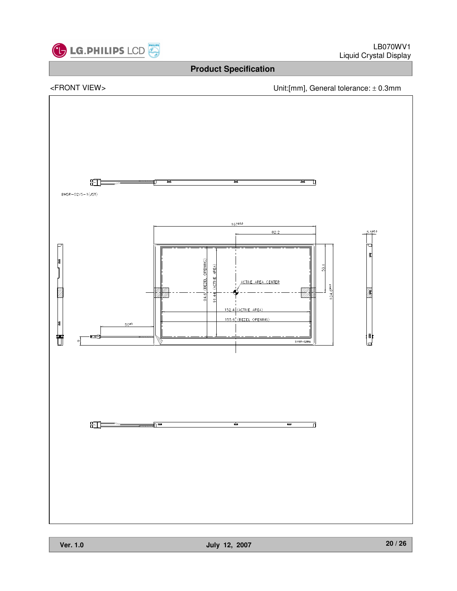

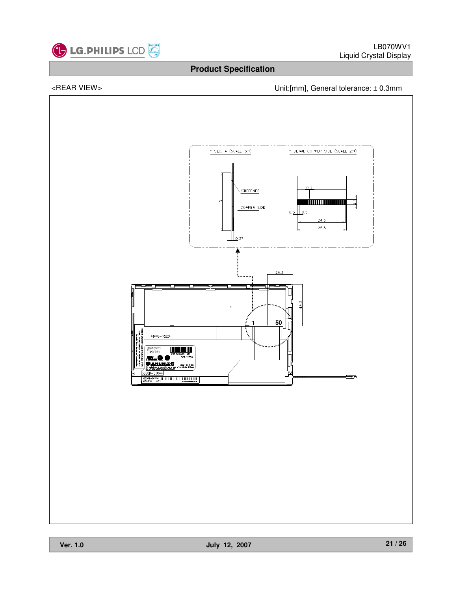

# <REAR VIEW> Unit:[mm], General tolerance: ± 0.3mm

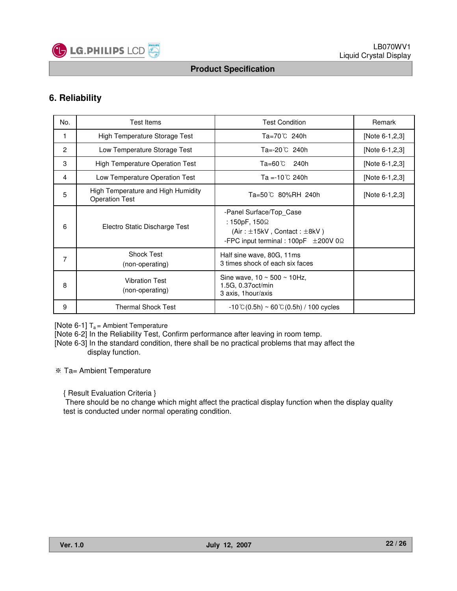

# **6. Reliability**

| No.            | <b>Test Items</b>                                           | <b>Test Condition</b>                                                                                                                 | Remark         |
|----------------|-------------------------------------------------------------|---------------------------------------------------------------------------------------------------------------------------------------|----------------|
| 1              | High Temperature Storage Test                               | Ta=70℃ 240h                                                                                                                           | [Note 6-1,2,3] |
| $\overline{2}$ | Low Temperature Storage Test                                | Ta=-20℃ 240h                                                                                                                          | [Note 6-1,2,3] |
| 3              | <b>High Temperature Operation Test</b>                      | Ta=60℃<br>240h                                                                                                                        | [Note 6-1,2,3] |
| 4              | Low Temperature Operation Test                              | Ta =-10 $^{\circ}$ C 240h                                                                                                             | [Note 6-1,2,3] |
| 5              | High Temperature and High Humidity<br><b>Operation Test</b> | Ta=50℃ 80%RH 240h                                                                                                                     | [Note 6-1,2,3] |
| 6              | Electro Static Discharge Test                               | -Panel Surface/Top Case<br>: 150pF, 150Ω<br>$(Air : \pm 15kV,$ Contact: $\pm 8kV$ )<br>-FPC input terminal : $100pF \pm 200V 0\Omega$ |                |
| 7              | <b>Shock Test</b><br>(non-operating)                        | Half sine wave, 80G, 11ms<br>3 times shock of each six faces                                                                          |                |
| 8              | <b>Vibration Test</b><br>(non-operating)                    | Sine wave, $10 \sim 500 \sim 10$ Hz,<br>1.5G, 0.37oct/min<br>3 axis, 1 hour/axis                                                      |                |
| 9              | <b>Thermal Shock Test</b>                                   | $-10^{\circ}$ C(0.5h) ~ 60 $^{\circ}$ C(0.5h) / 100 cycles                                                                            |                |

[Note 6-1]  $T_a$  = Ambient Temperature

[Note 6-2] In the Reliability Test, Confirm performance after leaving in room temp.

[Note 6-3] In the standard condition, there shall be no practical problems that may affect the display function.

Ta= Ambient Temperature

{ Result Evaluation Criteria }

There should be no change which might affect the practical display function when the display quality test is conducted under normal operating condition.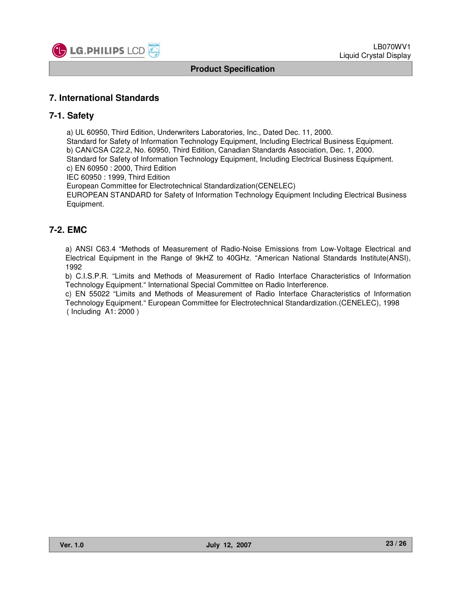

### **7. International Standards**

#### **7-1. Safety**

a) UL 60950, Third Edition, Underwriters Laboratories, Inc., Dated Dec. 11, 2000. Standard for Safety of Information Technology Equipment, Including Electrical Business Equipment. b) CAN/CSA C22.2, No. 60950, Third Edition, Canadian Standards Association, Dec. 1, 2000. Standard for Safety of Information Technology Equipment, Including Electrical Business Equipment. c) EN 60950 : 2000, Third Edition

IEC 60950 : 1999, Third Edition

European Committee for Electrotechnical Standardization(CENELEC)

EUROPEAN STANDARD for Safety of Information Technology Equipment Including Electrical Business Equipment.

# **7-2. EMC**

a) ANSI C63.4 "Methods of Measurement of Radio-Noise Emissions from Low-Voltage Electrical and Electrical Equipment in the Range of 9kHZ to 40GHz. "American National Standards Institute(ANSI), 1992

b) C.I.S.P.R. "Limits and Methods of Measurement of Radio Interface Characteristics of Information Technology Equipment." International Special Committee on Radio Interference.

c) EN 55022 "Limits and Methods of Measurement of Radio Interface Characteristics of Information Technology Equipment." European Committee for Electrotechnical Standardization.(CENELEC), 1998 ( Including A1: 2000 )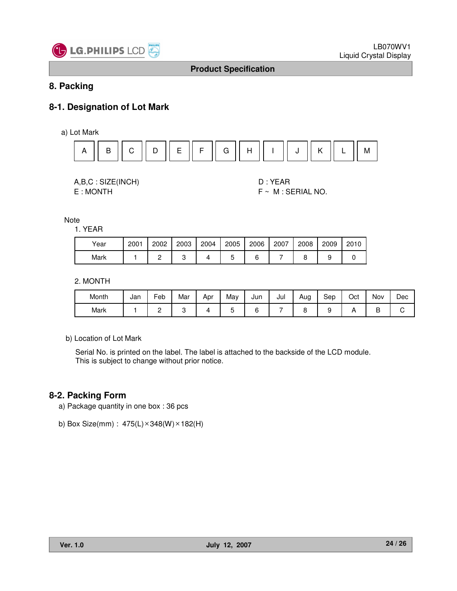

# **8. Packing**

# **8-1. Designation of Lot Mark**

a) Lot Mark



| A,B,C: SIZE(INCH) |
|-------------------|
| E:MONTH           |

D : YEAR  $F ~ M : SERIAL NO.$ 

Note

1. YEAR

| Year | 2001 | 2002 | 2003 | 2004 | 2005 | 2006 | 2007 | 2008 | 2009 | 2010 |
|------|------|------|------|------|------|------|------|------|------|------|
| Mark |      |      |      |      |      |      |      |      |      |      |

2. MONTH

| Month | Jan | -<br>⊢eb | Mar | Apr | May | Jun | Jul | Aug | Sep | Oct | Nov | Dec |
|-------|-----|----------|-----|-----|-----|-----|-----|-----|-----|-----|-----|-----|
| Mark  |     | -        |     |     | ∼   |     |     |     |     |     | ◡   |     |

b) Location of Lot Mark

Serial No. is printed on the label. The label is attached to the backside of the LCD module. This is subject to change without prior notice.

# **8-2. Packing Form**

- a) Package quantity in one box : 36 pcs
- b) Box Size(mm) :  $475(L) \times 348(W) \times 182(H)$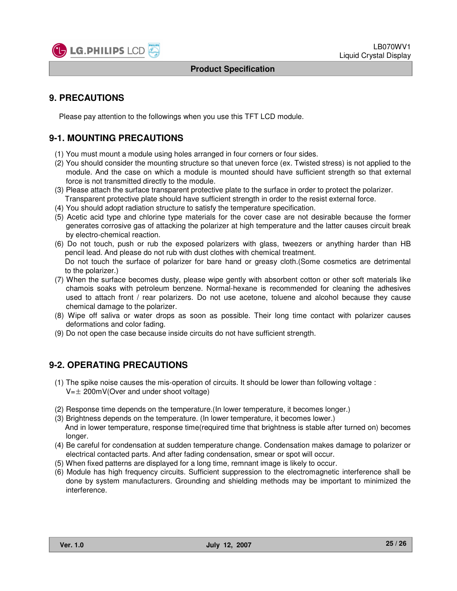

# **9. PRECAUTIONS**

Please pay attention to the followings when you use this TFT LCD module.

# **9-1. MOUNTING PRECAUTIONS**

- (1) You must mount a module using holes arranged in four corners or four sides.
- (2) You should consider the mounting structure so that uneven force (ex. Twisted stress) is not applied to the module. And the case on which a module is mounted should have sufficient strength so that external force is not transmitted directly to the module.
- (3) Please attach the surface transparent protective plate to the surface in order to protect the polarizer. Transparent protective plate should have sufficient strength in order to the resist external force.
- (4) You should adopt radiation structure to satisfy the temperature specification.
- (5) Acetic acid type and chlorine type materials for the cover case are not desirable because the former generates corrosive gas of attacking the polarizer at high temperature and the latter causes circuit break by electro-chemical reaction.
- (6) Do not touch, push or rub the exposed polarizers with glass, tweezers or anything harder than HB pencil lead. And please do not rub with dust clothes with chemical treatment. Do not touch the surface of polarizer for bare hand or greasy cloth.(Some cosmetics are detrimental to the polarizer.)
- (7) When the surface becomes dusty, please wipe gently with absorbent cotton or other soft materials like chamois soaks with petroleum benzene. Normal-hexane is recommended for cleaning the adhesives used to attach front / rear polarizers. Do not use acetone, toluene and alcohol because they cause chemical damage to the polarizer.
- (8) Wipe off saliva or water drops as soon as possible. Their long time contact with polarizer causes deformations and color fading.
- (9) Do not open the case because inside circuits do not have sufficient strength.

# **9-2. OPERATING PRECAUTIONS**

- (1) The spike noise causes the mis-operation of circuits. It should be lower than following voltage :  $V=\pm 200$ mV(Over and under shoot voltage)
- (2) Response time depends on the temperature.(In lower temperature, it becomes longer.)
- (3) Brightness depends on the temperature. (In lower temperature, it becomes lower.) And in lower temperature, response time(required time that brightness is stable after turned on) becomes longer.
- (4) Be careful for condensation at sudden temperature change. Condensation makes damage to polarizer or electrical contacted parts. And after fading condensation, smear or spot will occur.
- (5) When fixed patterns are displayed for a long time, remnant image is likely to occur.
- (6) Module has high frequency circuits. Sufficient suppression to the electromagnetic interference shall be done by system manufacturers. Grounding and shielding methods may be important to minimized the interference.